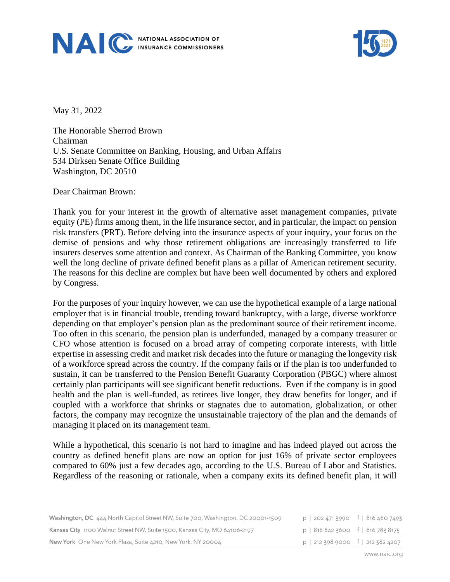



May 31, 2022

The Honorable Sherrod Brown Chairman U.S. Senate Committee on Banking, Housing, and Urban Affairs 534 Dirksen Senate Office Building Washington, DC 20510

Dear Chairman Brown:

Thank you for your interest in the growth of alternative asset management companies, private equity (PE) firms among them, in the life insurance sector, and in particular, the impact on pension risk transfers (PRT). Before delving into the insurance aspects of your inquiry, your focus on the demise of pensions and why those retirement obligations are increasingly transferred to life insurers deserves some attention and context. As Chairman of the Banking Committee, you know well the long decline of private defined benefit plans as a pillar of American retirement security. The reasons for this decline are complex but have been well documented by others and explored by Congress.

For the purposes of your inquiry however, we can use the hypothetical example of a large national employer that is in financial trouble, trending toward bankruptcy, with a large, diverse workforce depending on that employer's pension plan as the predominant source of their retirement income. Too often in this scenario, the pension plan is underfunded, managed by a company treasurer or CFO whose attention is focused on a broad array of competing corporate interests, with little expertise in assessing credit and market risk decades into the future or managing the longevity risk of a workforce spread across the country. If the company fails or if the plan is too underfunded to sustain, it can be transferred to the Pension Benefit Guaranty Corporation (PBGC) where almost certainly plan participants will see significant benefit reductions. Even if the company is in good health and the plan is well-funded, as retirees live longer, they draw benefits for longer, and if coupled with a workforce that shrinks or stagnates due to automation, globalization, or other factors, the company may recognize the unsustainable trajectory of the plan and the demands of managing it placed on its management team.

While a hypothetical, this scenario is not hard to imagine and has indeed played out across the country as defined benefit plans are now an option for just 16% of private sector employees compared to 60% just a few decades ago, according to the U.S. Bureau of Labor and Statistics. Regardless of the reasoning or rationale, when a company exits its defined benefit plan, it will

| Washington, DC 444 North Capitol Street NW, Suite 700, Washington, DC 20001-1509 | p   202 471 3990 f   816 460 7493   |  |
|----------------------------------------------------------------------------------|-------------------------------------|--|
| Kansas City 1100 Walnut Street NW, Suite 1500, Kansas City, MO 64106-2197        | $p$   816 842 3600 f   816 783 8175 |  |
| New York One New York Plaza, Suite 4210, New York, NY 20004                      | $p$   212 398 9000 f   212 382 4207 |  |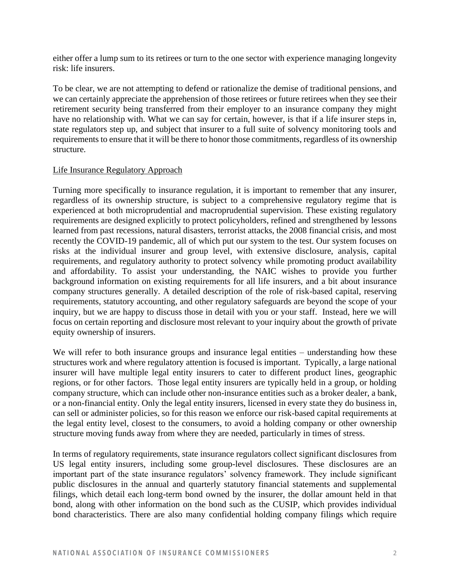either offer a lump sum to its retirees or turn to the one sector with experience managing longevity risk: life insurers.

To be clear, we are not attempting to defend or rationalize the demise of traditional pensions, and we can certainly appreciate the apprehension of those retirees or future retirees when they see their retirement security being transferred from their employer to an insurance company they might have no relationship with. What we can say for certain, however, is that if a life insurer steps in, state regulators step up, and subject that insurer to a full suite of solvency monitoring tools and requirements to ensure that it will be there to honor those commitments, regardless of its ownership structure.

### Life Insurance Regulatory Approach

Turning more specifically to insurance regulation, it is important to remember that any insurer, regardless of its ownership structure, is subject to a comprehensive regulatory regime that is experienced at both microprudential and macroprudential supervision. These existing regulatory requirements are designed explicitly to protect policyholders, refined and strengthened by lessons learned from past recessions, natural disasters, terrorist attacks, the 2008 financial crisis, and most recently the COVID-19 pandemic, all of which put our system to the test. Our system focuses on risks at the individual insurer and group level, with extensive disclosure, analysis, capital requirements, and regulatory authority to protect solvency while promoting product availability and affordability. To assist your understanding, the NAIC wishes to provide you further background information on existing requirements for all life insurers, and a bit about insurance company structures generally. A detailed description of the role of risk-based capital, reserving requirements, statutory accounting, and other regulatory safeguards are beyond the scope of your inquiry, but we are happy to discuss those in detail with you or your staff. Instead, here we will focus on certain reporting and disclosure most relevant to your inquiry about the growth of private equity ownership of insurers.

We will refer to both insurance groups and insurance legal entities – understanding how these structures work and where regulatory attention is focused is important. Typically, a large national insurer will have multiple legal entity insurers to cater to different product lines, geographic regions, or for other factors. Those legal entity insurers are typically held in a group, or holding company structure, which can include other non-insurance entities such as a broker dealer, a bank, or a non-financial entity. Only the legal entity insurers, licensed in every state they do business in, can sell or administer policies, so for this reason we enforce our risk-based capital requirements at the legal entity level, closest to the consumers, to avoid a holding company or other ownership structure moving funds away from where they are needed, particularly in times of stress.

In terms of regulatory requirements, state insurance regulators collect significant disclosures from US legal entity insurers, including some group-level disclosures. These disclosures are an important part of the state insurance regulators' solvency framework. They include significant public disclosures in the annual and quarterly statutory financial statements and supplemental filings, which detail each long-term bond owned by the insurer, the dollar amount held in that bond, along with other information on the bond such as the CUSIP, which provides individual bond characteristics. There are also many confidential holding company filings which require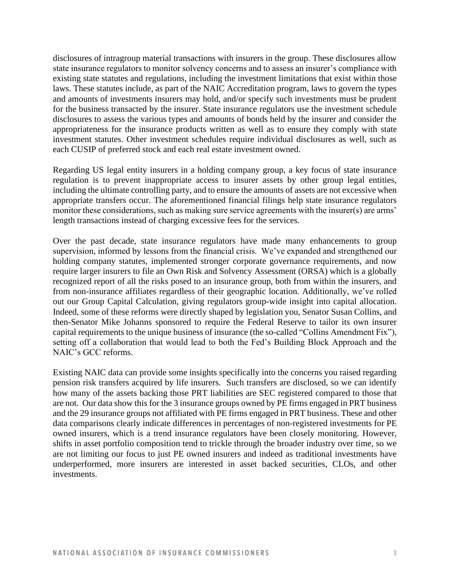disclosures of intragroup material transactions with insurers in the group. These disclosures allow state insurance regulators to monitor solvency concerns and to assess an insurer's compliance with existing state statutes and regulations, including the investment limitations that exist within those laws. These statutes include, as part of the NAIC Accreditation program, laws to govern the types and amounts of investments insurers may hold, and/or specify such investments must be prudent for the business transacted by the insurer. State insurance regulators use the investment schedule disclosures to assess the various types and amounts of bonds held by the insurer and consider the appropriateness for the insurance products written as well as to ensure they comply with state investment statutes. Other investment schedules require individual disclosures as well, such as each CUSIP of preferred stock and each real estate investment owned.

Regarding US legal entity insurers in a holding company group, a key focus of state insurance regulation is to prevent inappropriate access to insurer assets by other group legal entities, including the ultimate controlling party, and to ensure the amounts of assets are not excessive when appropriate transfers occur. The aforementioned financial filings help state insurance regulators monitor these considerations, such as making sure service agreements with the insurer(s) are arms' length transactions instead of charging excessive fees for the services.

Over the past decade, state insurance regulators have made many enhancements to group supervision, informed by lessons from the financial crisis. We've expanded and strengthened our holding company statutes, implemented stronger corporate governance requirements, and now require larger insurers to file an Own Risk and Solvency Assessment (ORSA) which is a globally recognized report of all the risks posed to an insurance group, both from within the insurers, and from non-insurance affiliates regardless of their geographic location. Additionally, we've rolled out our Group Capital Calculation, giving regulators group-wide insight into capital allocation. Indeed, some of these reforms were directly shaped by legislation you, Senator Susan Collins, and then-Senator Mike Johanns sponsored to require the Federal Reserve to tailor its own insurer capital requirements to the unique business of insurance (the so-called "Collins Amendment Fix"), setting off a collaboration that would lead to both the Fed's Building Block Approach and the NAIC's GCC reforms.

Existing NAIC data can provide some insights specifically into the concerns you raised regarding pension risk transfers acquired by life insurers. Such transfers are disclosed, so we can identify how many of the assets backing those PRT liabilities are SEC registered compared to those that are not. Our data show this for the 3 insurance groups owned by PE firms engaged in PRT business and the 29 insurance groups not affiliated with PE firms engaged in PRT business. These and other data comparisons clearly indicate differences in percentages of non-registered investments for PE owned insurers, which is a trend insurance regulators have been closely monitoring. However, shifts in asset portfolio composition tend to trickle through the broader industry over time, so we are not limiting our focus to just PE owned insurers and indeed as traditional investments have underperformed, more insurers are interested in asset backed securities, CLOs, and other investments.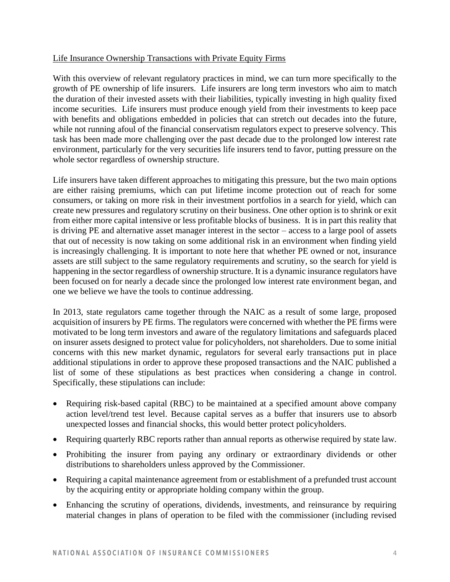## Life Insurance Ownership Transactions with Private Equity Firms

With this overview of relevant regulatory practices in mind, we can turn more specifically to the growth of PE ownership of life insurers. Life insurers are long term investors who aim to match the duration of their invested assets with their liabilities, typically investing in high quality fixed income securities. Life insurers must produce enough yield from their investments to keep pace with benefits and obligations embedded in policies that can stretch out decades into the future, while not running afoul of the financial conservatism regulators expect to preserve solvency. This task has been made more challenging over the past decade due to the prolonged low interest rate environment, particularly for the very securities life insurers tend to favor, putting pressure on the whole sector regardless of ownership structure.

Life insurers have taken different approaches to mitigating this pressure, but the two main options are either raising premiums, which can put lifetime income protection out of reach for some consumers, or taking on more risk in their investment portfolios in a search for yield, which can create new pressures and regulatory scrutiny on their business. One other option is to shrink or exit from either more capital intensive or less profitable blocks of business. It is in part this reality that is driving PE and alternative asset manager interest in the sector – access to a large pool of assets that out of necessity is now taking on some additional risk in an environment when finding yield is increasingly challenging. It is important to note here that whether PE owned or not, insurance assets are still subject to the same regulatory requirements and scrutiny, so the search for yield is happening in the sector regardless of ownership structure. It is a dynamic insurance regulators have been focused on for nearly a decade since the prolonged low interest rate environment began, and one we believe we have the tools to continue addressing.

In 2013, state regulators came together through the NAIC as a result of some large, proposed acquisition of insurers by PE firms. The regulators were concerned with whether the PE firms were motivated to be long term investors and aware of the regulatory limitations and safeguards placed on insurer assets designed to protect value for policyholders, not shareholders. Due to some initial concerns with this new market dynamic, regulators for several early transactions put in place additional stipulations in order to approve these proposed transactions and the NAIC published a list of some of these stipulations as best practices when considering a change in control. Specifically, these stipulations can include:

- Requiring risk-based capital (RBC) to be maintained at a specified amount above company action level/trend test level. Because capital serves as a buffer that insurers use to absorb unexpected losses and financial shocks, this would better protect policyholders.
- Requiring quarterly RBC reports rather than annual reports as otherwise required by state law.
- Prohibiting the insurer from paying any ordinary or extraordinary dividends or other distributions to shareholders unless approved by the Commissioner.
- Requiring a capital maintenance agreement from or establishment of a prefunded trust account by the acquiring entity or appropriate holding company within the group.
- Enhancing the scrutiny of operations, dividends, investments, and reinsurance by requiring material changes in plans of operation to be filed with the commissioner (including revised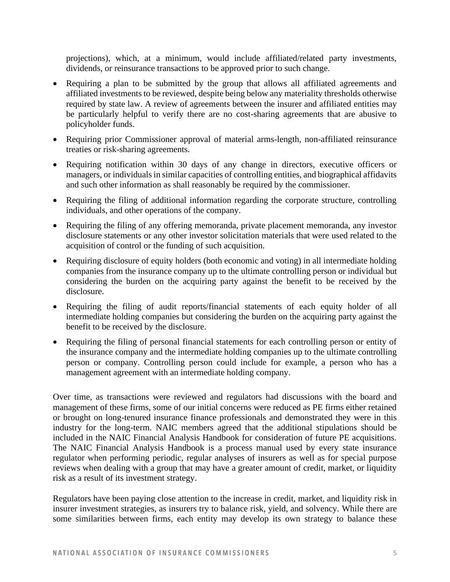projections), which, at a minimum, would include affiliated/related party investments, dividends, or reinsurance transactions to be approved prior to such change.

- Requiring a plan to be submitted by the group that allows all affiliated agreements and affiliated investments to be reviewed, despite being below any materiality thresholds otherwise required by state law. A review of agreements between the insurer and affiliated entities may be particularly helpful to verify there are no cost-sharing agreements that are abusive to policyholder funds.
- Requiring prior Commissioner approval of material arms-length, non-affiliated reinsurance treaties or risk-sharing agreements.
- Requiring notification within 30 days of any change in directors, executive officers or managers, or individuals in similar capacities of controlling entities, and biographical affidavits and such other information as shall reasonably be required by the commissioner.
- Requiring the filing of additional information regarding the corporate structure, controlling individuals, and other operations of the company.
- Requiring the filing of any offering memoranda, private placement memoranda, any investor disclosure statements or any other investor solicitation materials that were used related to the acquisition of control or the funding of such acquisition.
- Requiring disclosure of equity holders (both economic and voting) in all intermediate holding companies from the insurance company up to the ultimate controlling person or individual but considering the burden on the acquiring party against the benefit to be received by the disclosure.
- Requiring the filing of audit reports/financial statements of each equity holder of all intermediate holding companies but considering the burden on the acquiring party against the benefit to be received by the disclosure.
- Requiring the filing of personal financial statements for each controlling person or entity of the insurance company and the intermediate holding companies up to the ultimate controlling person or company. Controlling person could include for example, a person who has a management agreement with an intermediate holding company.

Over time, as transactions were reviewed and regulators had discussions with the board and management of these firms, some of our initial concerns were reduced as PE firms either retained or brought on long-tenured insurance finance professionals and demonstrated they were in this industry for the long-term. NAIC members agreed that the additional stipulations should be included in the NAIC Financial Analysis Handbook for consideration of future PE acquisitions. The NAIC Financial Analysis Handbook is a process manual used by every state insurance regulator when performing periodic, regular analyses of insurers as well as for special purpose reviews when dealing with a group that may have a greater amount of credit, market, or liquidity risk as a result of its investment strategy.

Regulators have been paying close attention to the increase in credit, market, and liquidity risk in insurer investment strategies, as insurers try to balance risk, yield, and solvency. While there are some similarities between firms, each entity may develop its own strategy to balance these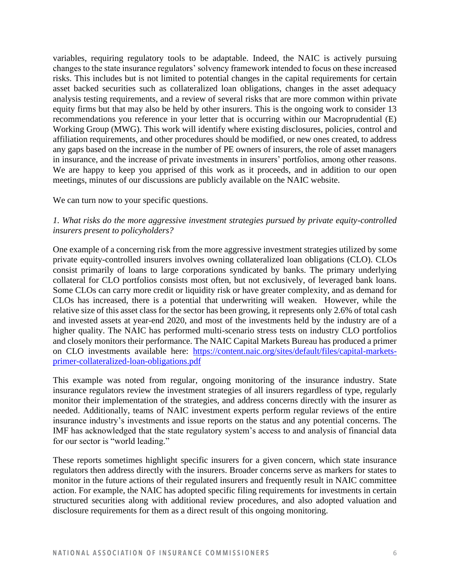variables, requiring regulatory tools to be adaptable. Indeed, the NAIC is actively pursuing changes to the state insurance regulators' solvency framework intended to focus on these increased risks. This includes but is not limited to potential changes in the capital requirements for certain asset backed securities such as collateralized loan obligations, changes in the asset adequacy analysis testing requirements, and a review of several risks that are more common within private equity firms but that may also be held by other insurers. This is the ongoing work to consider 13 recommendations you reference in your letter that is occurring within our Macroprudential (E) Working Group (MWG). This work will identify where existing disclosures, policies, control and affiliation requirements, and other procedures should be modified, or new ones created, to address any gaps based on the increase in the number of PE owners of insurers, the role of asset managers in insurance, and the increase of private investments in insurers' portfolios, among other reasons. We are happy to keep you apprised of this work as it proceeds, and in addition to our open meetings, minutes of our discussions are publicly available on the NAIC website.

We can turn now to your specific questions.

# *1. What risks do the more aggressive investment strategies pursued by private equity-controlled insurers present to policyholders?*

One example of a concerning risk from the more aggressive investment strategies utilized by some private equity-controlled insurers involves owning collateralized loan obligations (CLO). CLOs consist primarily of loans to large corporations syndicated by banks. The primary underlying collateral for CLO portfolios consists most often, but not exclusively, of leveraged bank loans. Some CLOs can carry more credit or liquidity risk or have greater complexity, and as demand for CLOs has increased, there is a potential that underwriting will weaken. However, while the relative size of this asset class for the sector has been growing, it represents only 2.6% of total cash and invested assets at year-end 2020, and most of the investments held by the industry are of a higher quality. The NAIC has performed multi-scenario stress tests on industry CLO portfolios and closely monitors their performance. The NAIC Capital Markets Bureau has produced a primer on CLO investments available here: [https://content.naic.org/sites/default/files/capital-markets](https://content.naic.org/sites/default/files/capital-markets-primer-collateralized-loan-obligations.pdf)[primer-collateralized-loan-obligations.pdf](https://content.naic.org/sites/default/files/capital-markets-primer-collateralized-loan-obligations.pdf)

This example was noted from regular, ongoing monitoring of the insurance industry. State insurance regulators review the investment strategies of all insurers regardless of type, regularly monitor their implementation of the strategies, and address concerns directly with the insurer as needed. Additionally, teams of NAIC investment experts perform regular reviews of the entire insurance industry's investments and issue reports on the status and any potential concerns. The IMF has acknowledged that the state regulatory system's access to and analysis of financial data for our sector is "world leading."

These reports sometimes highlight specific insurers for a given concern, which state insurance regulators then address directly with the insurers. Broader concerns serve as markers for states to monitor in the future actions of their regulated insurers and frequently result in NAIC committee action. For example, the NAIC has adopted specific filing requirements for investments in certain structured securities along with additional review procedures, and also adopted valuation and disclosure requirements for them as a direct result of this ongoing monitoring.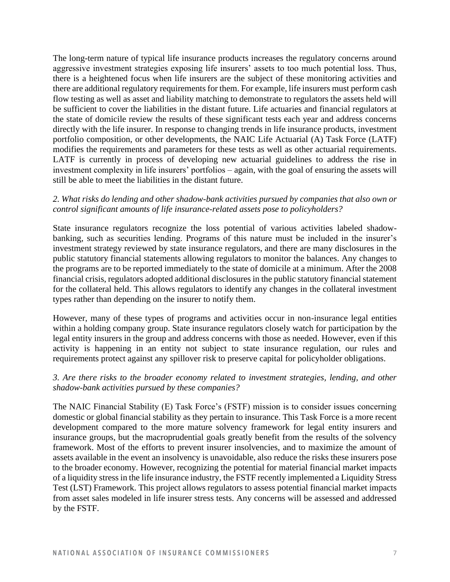The long-term nature of typical life insurance products increases the regulatory concerns around aggressive investment strategies exposing life insurers' assets to too much potential loss. Thus, there is a heightened focus when life insurers are the subject of these monitoring activities and there are additional regulatory requirements for them. For example, life insurers must perform cash flow testing as well as asset and liability matching to demonstrate to regulators the assets held will be sufficient to cover the liabilities in the distant future. Life actuaries and financial regulators at the state of domicile review the results of these significant tests each year and address concerns directly with the life insurer. In response to changing trends in life insurance products, investment portfolio composition, or other developments, the NAIC Life Actuarial (A) Task Force (LATF) modifies the requirements and parameters for these tests as well as other actuarial requirements. LATF is currently in process of developing new actuarial guidelines to address the rise in investment complexity in life insurers' portfolios – again, with the goal of ensuring the assets will still be able to meet the liabilities in the distant future.

## *2. What risks do lending and other shadow-bank activities pursued by companies that also own or control significant amounts of life insurance-related assets pose to policyholders?*

State insurance regulators recognize the loss potential of various activities labeled shadowbanking, such as securities lending. Programs of this nature must be included in the insurer's investment strategy reviewed by state insurance regulators, and there are many disclosures in the public statutory financial statements allowing regulators to monitor the balances. Any changes to the programs are to be reported immediately to the state of domicile at a minimum. After the 2008 financial crisis, regulators adopted additional disclosures in the public statutory financial statement for the collateral held. This allows regulators to identify any changes in the collateral investment types rather than depending on the insurer to notify them.

However, many of these types of programs and activities occur in non-insurance legal entities within a holding company group. State insurance regulators closely watch for participation by the legal entity insurers in the group and address concerns with those as needed. However, even if this activity is happening in an entity not subject to state insurance regulation, our rules and requirements protect against any spillover risk to preserve capital for policyholder obligations.

# *3. Are there risks to the broader economy related to investment strategies, lending, and other shadow-bank activities pursued by these companies?*

The NAIC Financial Stability (E) Task Force's (FSTF) mission is to consider issues concerning domestic or global financial stability as they pertain to insurance. This Task Force is a more recent development compared to the more mature solvency framework for legal entity insurers and insurance groups, but the macroprudential goals greatly benefit from the results of the solvency framework. Most of the efforts to prevent insurer insolvencies, and to maximize the amount of assets available in the event an insolvency is unavoidable, also reduce the risks these insurers pose to the broader economy. However, recognizing the potential for material financial market impacts of a liquidity stress in the life insurance industry, the FSTF recently implemented a Liquidity Stress Test (LST) Framework. This project allows regulators to assess potential financial market impacts from asset sales modeled in life insurer stress tests. Any concerns will be assessed and addressed by the FSTF.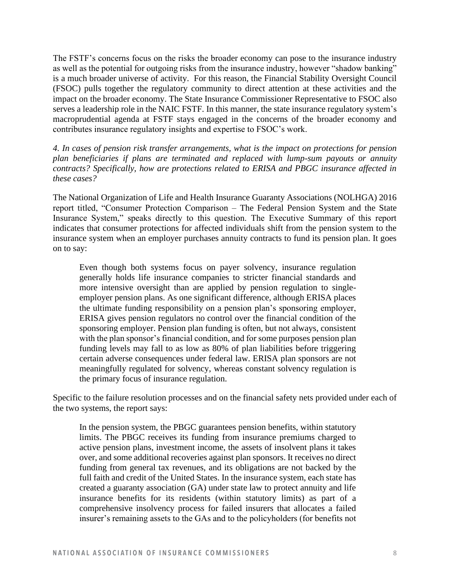The FSTF's concerns focus on the risks the broader economy can pose to the insurance industry as well as the potential for outgoing risks from the insurance industry, however "shadow banking" is a much broader universe of activity. For this reason, the Financial Stability Oversight Council (FSOC) pulls together the regulatory community to direct attention at these activities and the impact on the broader economy. The State Insurance Commissioner Representative to FSOC also serves a leadership role in the NAIC FSTF. In this manner, the state insurance regulatory system's macroprudential agenda at FSTF stays engaged in the concerns of the broader economy and contributes insurance regulatory insights and expertise to FSOC's work.

*4. In cases of pension risk transfer arrangements, what is the impact on protections for pension plan beneficiaries if plans are terminated and replaced with lump-sum payouts or annuity contracts? Specifically, how are protections related to ERISA and PBGC insurance affected in these cases?* 

The National Organization of Life and Health Insurance Guaranty Associations (NOLHGA) 2016 report titled, "Consumer Protection Comparison – The Federal Pension System and the State Insurance System," speaks directly to this question. The Executive Summary of this report indicates that consumer protections for affected individuals shift from the pension system to the insurance system when an employer purchases annuity contracts to fund its pension plan. It goes on to say:

Even though both systems focus on payer solvency, insurance regulation generally holds life insurance companies to stricter financial standards and more intensive oversight than are applied by pension regulation to singleemployer pension plans. As one significant difference, although ERISA places the ultimate funding responsibility on a pension plan's sponsoring employer, ERISA gives pension regulators no control over the financial condition of the sponsoring employer. Pension plan funding is often, but not always, consistent with the plan sponsor's financial condition, and for some purposes pension plan funding levels may fall to as low as 80% of plan liabilities before triggering certain adverse consequences under federal law. ERISA plan sponsors are not meaningfully regulated for solvency, whereas constant solvency regulation is the primary focus of insurance regulation.

Specific to the failure resolution processes and on the financial safety nets provided under each of the two systems, the report says:

In the pension system, the PBGC guarantees pension benefits, within statutory limits. The PBGC receives its funding from insurance premiums charged to active pension plans, investment income, the assets of insolvent plans it takes over, and some additional recoveries against plan sponsors. It receives no direct funding from general tax revenues, and its obligations are not backed by the full faith and credit of the United States. In the insurance system, each state has created a guaranty association (GA) under state law to protect annuity and life insurance benefits for its residents (within statutory limits) as part of a comprehensive insolvency process for failed insurers that allocates a failed insurer's remaining assets to the GAs and to the policyholders (for benefits not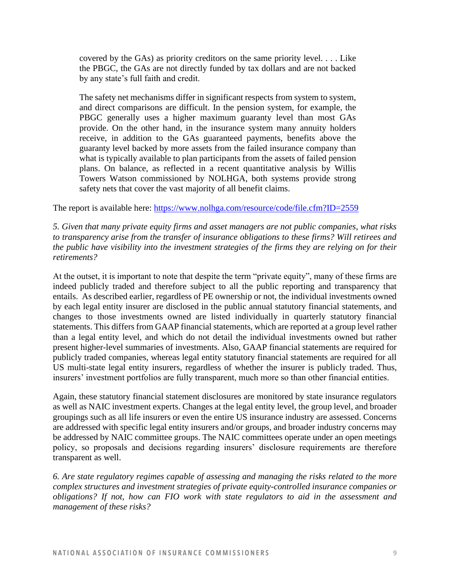covered by the GAs) as priority creditors on the same priority level. . . . Like the PBGC, the GAs are not directly funded by tax dollars and are not backed by any state's full faith and credit.

The safety net mechanisms differ in significant respects from system to system, and direct comparisons are difficult. In the pension system, for example, the PBGC generally uses a higher maximum guaranty level than most GAs provide. On the other hand, in the insurance system many annuity holders receive, in addition to the GAs guaranteed payments, benefits above the guaranty level backed by more assets from the failed insurance company than what is typically available to plan participants from the assets of failed pension plans. On balance, as reflected in a recent quantitative analysis by Willis Towers Watson commissioned by NOLHGA, both systems provide strong safety nets that cover the vast majority of all benefit claims.

The report is available here:<https://www.nolhga.com/resource/code/file.cfm?ID=2559>

*5. Given that many private equity firms and asset managers are not public companies, what risks to transparency arise from the transfer of insurance obligations to these firms? Will retirees and the public have visibility into the investment strategies of the firms they are relying on for their retirements?* 

At the outset, it is important to note that despite the term "private equity", many of these firms are indeed publicly traded and therefore subject to all the public reporting and transparency that entails. As described earlier, regardless of PE ownership or not, the individual investments owned by each legal entity insurer are disclosed in the public annual statutory financial statements, and changes to those investments owned are listed individually in quarterly statutory financial statements. This differs from GAAP financial statements, which are reported at a group level rather than a legal entity level, and which do not detail the individual investments owned but rather present higher-level summaries of investments. Also, GAAP financial statements are required for publicly traded companies, whereas legal entity statutory financial statements are required for all US multi-state legal entity insurers, regardless of whether the insurer is publicly traded. Thus, insurers' investment portfolios are fully transparent, much more so than other financial entities.

Again, these statutory financial statement disclosures are monitored by state insurance regulators as well as NAIC investment experts. Changes at the legal entity level, the group level, and broader groupings such as all life insurers or even the entire US insurance industry are assessed. Concerns are addressed with specific legal entity insurers and/or groups, and broader industry concerns may be addressed by NAIC committee groups. The NAIC committees operate under an open meetings policy, so proposals and decisions regarding insurers' disclosure requirements are therefore transparent as well.

*6. Are state regulatory regimes capable of assessing and managing the risks related to the more complex structures and investment strategies of private equity-controlled insurance companies or obligations? If not, how can FIO work with state regulators to aid in the assessment and management of these risks?*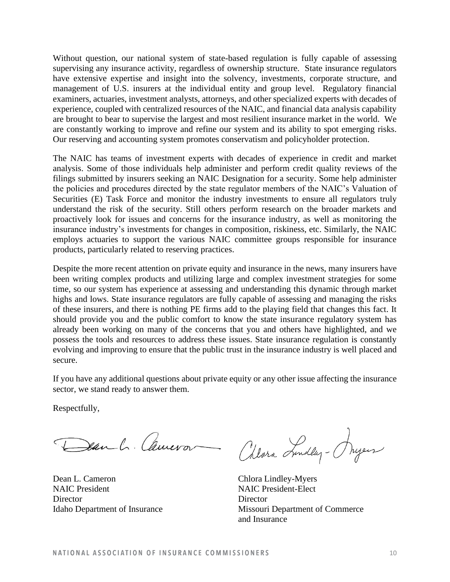Without question, our national system of state-based regulation is fully capable of assessing supervising any insurance activity, regardless of ownership structure. State insurance regulators have extensive expertise and insight into the solvency, investments, corporate structure, and management of U.S. insurers at the individual entity and group level. Regulatory financial examiners, actuaries, investment analysts, attorneys, and other specialized experts with decades of experience, coupled with centralized resources of the NAIC, and financial data analysis capability are brought to bear to supervise the largest and most resilient insurance market in the world. We are constantly working to improve and refine our system and its ability to spot emerging risks. Our reserving and accounting system promotes conservatism and policyholder protection.

The NAIC has teams of investment experts with decades of experience in credit and market analysis. Some of those individuals help administer and perform credit quality reviews of the filings submitted by insurers seeking an NAIC Designation for a security. Some help administer the policies and procedures directed by the state regulator members of the NAIC's Valuation of Securities (E) Task Force and monitor the industry investments to ensure all regulators truly understand the risk of the security. Still others perform research on the broader markets and proactively look for issues and concerns for the insurance industry, as well as monitoring the insurance industry's investments for changes in composition, riskiness, etc. Similarly, the NAIC employs actuaries to support the various NAIC committee groups responsible for insurance products, particularly related to reserving practices.

Despite the more recent attention on private equity and insurance in the news, many insurers have been writing complex products and utilizing large and complex investment strategies for some time, so our system has experience at assessing and understanding this dynamic through market highs and lows. State insurance regulators are fully capable of assessing and managing the risks of these insurers, and there is nothing PE firms add to the playing field that changes this fact. It should provide you and the public comfort to know the state insurance regulatory system has already been working on many of the concerns that you and others have highlighted, and we possess the tools and resources to address these issues. State insurance regulation is constantly evolving and improving to ensure that the public trust in the insurance industry is well placed and secure.

If you have any additional questions about private equity or any other issue affecting the insurance sector, we stand ready to answer them.

Respectfully,

Dear L. Cameron

Dean L. Cameron Chlora Lindley-Myers NAIC President NAIC President-Elect Director Director

Alvra Tendley - Aryen

Idaho Department of Insurance Missouri Department of Commerce and Insurance